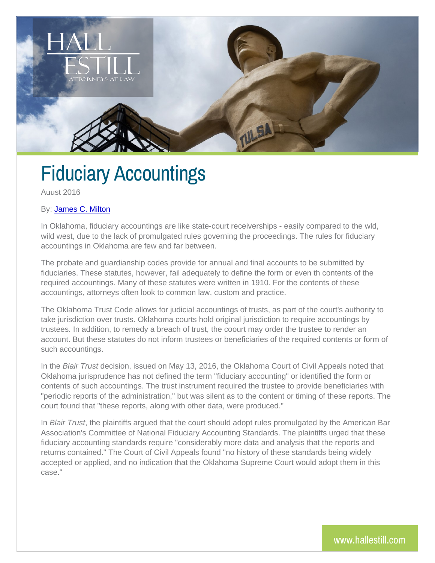## Fiduciary Accountings

Auust 2016

## By[: James C.](http://www.hallestill.com/our-team/james-c-milton) Milton

In Oklahoma, fiduciary accountings are like state-court receiverships wild west, due to the lack of promulgated rules governing the proceeding accountings in Oklahoma are few and far between.

The probate and guardianship codes provide for annual and final accounts fiduciaries. These statutes, however, fail adequately to define the form required accountings. Many of these statutes were written in 1910. For accountings, attorneys often look to common law, custom and practice.

The Oklahoma Trust Code allows for judicial accountings of trusts, as take jurisdiction over trusts. Oklahoma courts hold original jurisdictio trustees. In addition, to remedy a breach of trust, the coourt may order account. But these statutes do not inform trustees or beneficiaries of such accountings.

In the Bair Trunsatision, issued on May 13, 2016, the Oklahoma Court of C Oklahoma jurisprudence has not defined the term "fiduciary accounting contents of such accountings. The trust instrument required the truste "periodic reports of the administration," but was silent as to the conte court found that "these reports, along with other data, were produced.

In Blair Trust plaintiffs argued that the court should adopt rules promu Association's Committee of National Fiduciary Accounting Standards. The plantic school of planntiffs urged that the planntiffs urged that the planntiffs urged that the planntiffs urged that the planntiffs urged that the pl fiduciary accounting standards require "considerably more data and an returns contained." The Court of Civil Appeals found "no history of the accepted or applied, and no indication that the Oklahoma Supreme Cou case."